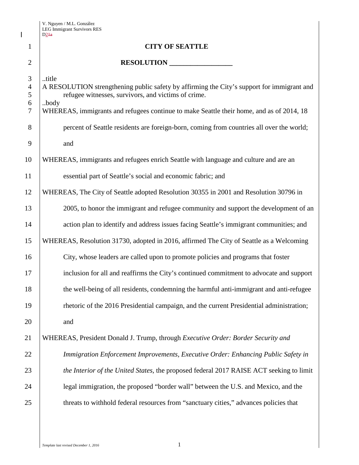$\mathbf I$ 

|                                                           | D24a                                                                                                                                                                                                                                                           |  |  |
|-----------------------------------------------------------|----------------------------------------------------------------------------------------------------------------------------------------------------------------------------------------------------------------------------------------------------------------|--|--|
| $\mathbf{1}$                                              | <b>CITY OF SEATTLE</b>                                                                                                                                                                                                                                         |  |  |
| $\overline{2}$                                            | RESOLUTION                                                                                                                                                                                                                                                     |  |  |
| 3<br>$\overline{\mathcal{A}}$<br>5<br>6<br>$\overline{7}$ | title<br>A RESOLUTION strengthening public safety by affirming the City's support for immigrant and<br>refugee witnesses, survivors, and victims of crime.<br>body<br>WHEREAS, immigrants and refugees continue to make Seattle their home, and as of 2014, 18 |  |  |
| 8                                                         | percent of Seattle residents are foreign-born, coming from countries all over the world;                                                                                                                                                                       |  |  |
| 9                                                         | and                                                                                                                                                                                                                                                            |  |  |
| 10                                                        | WHEREAS, immigrants and refugees enrich Seattle with language and culture and are an                                                                                                                                                                           |  |  |
| 11                                                        | essential part of Seattle's social and economic fabric; and                                                                                                                                                                                                    |  |  |
| 12                                                        | WHEREAS, The City of Seattle adopted Resolution 30355 in 2001 and Resolution 30796 in                                                                                                                                                                          |  |  |
| 13                                                        | 2005, to honor the immigrant and refugee community and support the development of an                                                                                                                                                                           |  |  |
| 14                                                        | action plan to identify and address issues facing Seattle's immigrant communities; and                                                                                                                                                                         |  |  |
| 15                                                        | WHEREAS, Resolution 31730, adopted in 2016, affirmed The City of Seattle as a Welcoming                                                                                                                                                                        |  |  |
| 16                                                        | City, whose leaders are called upon to promote policies and programs that foster                                                                                                                                                                               |  |  |
| 17                                                        | inclusion for all and reaffirms the City's continued commitment to advocate and support                                                                                                                                                                        |  |  |
| 18                                                        | the well-being of all residents, condemning the harmful anti-immigrant and anti-refugee                                                                                                                                                                        |  |  |
| 19                                                        | rhetoric of the 2016 Presidential campaign, and the current Presidential administration;                                                                                                                                                                       |  |  |
| 20                                                        | and                                                                                                                                                                                                                                                            |  |  |
| 21                                                        | WHEREAS, President Donald J. Trump, through Executive Order: Border Security and                                                                                                                                                                               |  |  |
| 22                                                        | Immigration Enforcement Improvements, Executive Order: Enhancing Public Safety in                                                                                                                                                                              |  |  |
| 23                                                        | the Interior of the United States, the proposed federal 2017 RAISE ACT seeking to limit                                                                                                                                                                        |  |  |
| 24                                                        | legal immigration, the proposed "border wall" between the U.S. and Mexico, and the                                                                                                                                                                             |  |  |
| 25                                                        | threats to withhold federal resources from "sanctuary cities," advances policies that                                                                                                                                                                          |  |  |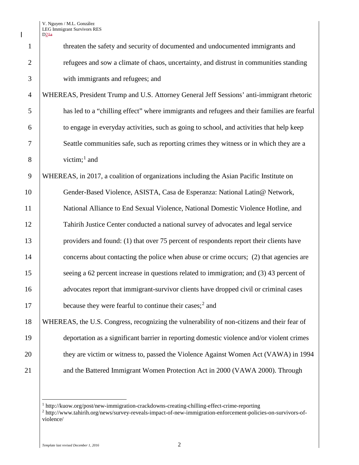$\overline{\phantom{a}}$ 

|                | D24a                                                                                        |
|----------------|---------------------------------------------------------------------------------------------|
| $\mathbf{1}$   | threaten the safety and security of documented and undocumented immigrants and              |
| $\overline{2}$ | refugees and sow a climate of chaos, uncertainty, and distrust in communities standing      |
| 3              | with immigrants and refugees; and                                                           |
| $\overline{4}$ | WHEREAS, President Trump and U.S. Attorney General Jeff Sessions' anti-immigrant rhetoric   |
| 5              | has led to a "chilling effect" where immigrants and refugees and their families are fearful |
| 6              | to engage in everyday activities, such as going to school, and activities that help keep    |
| 7              | Seattle communities safe, such as reporting crimes they witness or in which they are a      |
| $8\,$          | victim; $1$ and                                                                             |
| 9              | WHEREAS, in 2017, a coalition of organizations including the Asian Pacific Institute on     |
| 10             | Gender-Based Violence, ASISTA, Casa de Esperanza: National Latin@ Network,                  |
| 11             | National Alliance to End Sexual Violence, National Domestic Violence Hotline, and           |
| 12             | Tahirih Justice Center conducted a national survey of advocates and legal service           |
| 13             | providers and found: (1) that over 75 percent of respondents report their clients have      |
| 14             | concerns about contacting the police when abuse or crime occurs; (2) that agencies are      |
| 15             | seeing a 62 percent increase in questions related to immigration; and (3) 43 percent of     |
| 16             | advocates report that immigrant-survivor clients have dropped civil or criminal cases       |
| 17             | because they were fearful to continue their cases; $2$ and                                  |
| 18             | WHEREAS, the U.S. Congress, recognizing the vulnerability of non-citizens and their fear of |
| 19             | deportation as a significant barrier in reporting domestic violence and/or violent crimes   |
| 20             | they are victim or witness to, passed the Violence Against Women Act (VAWA) in 1994         |
| 21             | and the Battered Immigrant Women Protection Act in 2000 (VAWA 2000). Through                |
|                |                                                                                             |

http://kuow.org/post/new-immigration-crackdowns-creating-chilling-effect-crime-reporting

<span id="page-1-1"></span><span id="page-1-0"></span> http://www.tahirih.org/news/survey-reveals-impact-of-new-immigration-enforcement-policies-on-survivors-ofviolence/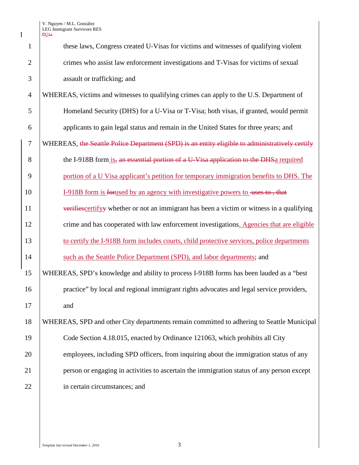|    |                | D24a                                                                                           |  |
|----|----------------|------------------------------------------------------------------------------------------------|--|
|    | 1              | these laws, Congress created U-Visas for victims and witnesses of qualifying violent           |  |
|    | $\mathfrak{2}$ | crimes who assist law enforcement investigations and T-Visas for victims of sexual             |  |
|    | 3              | assault or trafficking; and                                                                    |  |
|    | $\overline{4}$ | WHEREAS, victims and witnesses to qualifying crimes can apply to the U.S. Department of        |  |
|    | 5              | Homeland Security (DHS) for a U-Visa or T-Visa; both visas, if granted, would permit           |  |
|    | 6              | applicants to gain legal status and remain in the United States for three years; and           |  |
|    | $\tau$         | WHEREAS, the Seattle Police Department (SPD) is an entity eligible to administratively certify |  |
|    | 8              | the I-918B form is, an essential portion of a U-Visa application to the DHSa required          |  |
|    | 9              | portion of a U Visa applicant's petition for temporary immigration benefits to DHS. The        |  |
| 10 |                | I-918B form is for used by an agency with investigative powers to uses to, that                |  |
| 11 |                | verifiescertifyy whether or not an immigrant has been a victim or witness in a qualifying      |  |
| 12 |                | crime and has cooperated with law enforcement investigations. Agencies that are eligible       |  |
| 13 |                | to certify the I-918B form includes courts, child protective services, police departments      |  |
| 14 |                | such as the Seattle Police Department (SPD), and labor departments; and                        |  |
| 15 |                | WHEREAS, SPD's knowledge and ability to process I-918B forms has been lauded as a "best        |  |
| 16 |                | practice" by local and regional immigrant rights advocates and legal service providers,        |  |
| 17 |                | and                                                                                            |  |
| 18 |                | WHEREAS, SPD and other City departments remain committed to adhering to Seattle Municipal      |  |
| 19 |                | Code Section 4.18.015, enacted by Ordinance 121063, which prohibits all City                   |  |
| 20 |                | employees, including SPD officers, from inquiring about the immigration status of any          |  |
| 21 |                | person or engaging in activities to ascertain the immigration status of any person except      |  |
| 22 |                | in certain circumstances; and                                                                  |  |
|    |                |                                                                                                |  |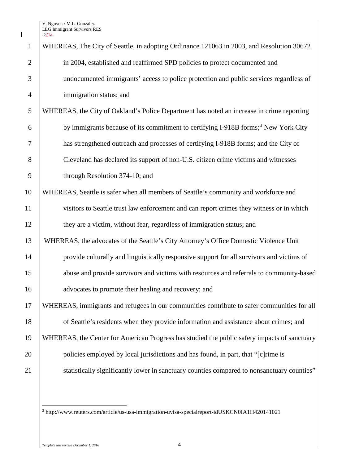$\overline{\phantom{a}}$ 

| $\mathbf{1}$   | WHEREAS, The City of Seattle, in adopting Ordinance 121063 in 2003, and Resolution 30672       |
|----------------|------------------------------------------------------------------------------------------------|
| $\overline{2}$ | in 2004, established and reaffirmed SPD policies to protect documented and                     |
| 3              | undocumented immigrants' access to police protection and public services regardless of         |
| $\overline{4}$ | immigration status; and                                                                        |
| 5              | WHEREAS, the City of Oakland's Police Department has noted an increase in crime reporting      |
| 6              | by immigrants because of its commitment to certifying I-918B forms; <sup>3</sup> New York City |
| 7              | has strengthened outreach and processes of certifying I-918B forms; and the City of            |
| 8              | Cleveland has declared its support of non-U.S. citizen crime victims and witnesses             |
| 9              | through Resolution 374-10; and                                                                 |
| 10             | WHEREAS, Seattle is safer when all members of Seattle's community and workforce and            |
| 11             | visitors to Seattle trust law enforcement and can report crimes they witness or in which       |
| 12             | they are a victim, without fear, regardless of immigration status; and                         |
| 13             | WHEREAS, the advocates of the Seattle's City Attorney's Office Domestic Violence Unit          |
| 14             | provide culturally and linguistically responsive support for all survivors and victims of      |
| 15             | abuse and provide survivors and victims with resources and referrals to community-based        |
| 16             | advocates to promote their healing and recovery; and                                           |
| 17             | WHEREAS, immigrants and refugees in our communities contribute to safer communities for all    |
| 18             | of Seattle's residents when they provide information and assistance about crimes; and          |
| 19             | WHEREAS, the Center for American Progress has studied the public safety impacts of sanctuary   |
| 20             | policies employed by local jurisdictions and has found, in part, that "[c] rime is             |
| 21             | statistically significantly lower in sanctuary counties compared to nonsanctuary counties"     |
|                |                                                                                                |

<span id="page-3-0"></span> $^3$  http://www.reuters.com/article/us-usa-immigration-uvisa-specialreport-idUSKCN0IA1H420141021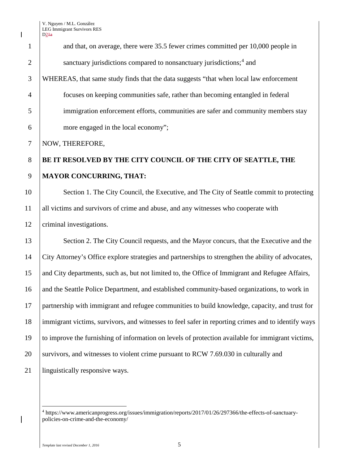$\overline{\phantom{a}}$ 

|                | D24a                                                                                               |
|----------------|----------------------------------------------------------------------------------------------------|
| $\mathbf{1}$   | and that, on average, there were 35.5 fewer crimes committed per 10,000 people in                  |
| $\overline{2}$ | sanctuary jurisdictions compared to nonsanctuary jurisdictions; <sup>4</sup> and                   |
| 3              | WHEREAS, that same study finds that the data suggests "that when local law enforcement             |
| $\overline{4}$ | focuses on keeping communities safe, rather than becoming entangled in federal                     |
| 5              | immigration enforcement efforts, communities are safer and community members stay                  |
| 6              | more engaged in the local economy";                                                                |
| $\tau$         | NOW, THEREFORE,                                                                                    |
| 8              | BE IT RESOLVED BY THE CITY COUNCIL OF THE CITY OF SEATTLE, THE                                     |
| 9              | <b>MAYOR CONCURRING, THAT:</b>                                                                     |
| 10             | Section 1. The City Council, the Executive, and The City of Seattle commit to protecting           |
| 11             | all victims and survivors of crime and abuse, and any witnesses who cooperate with                 |
| 12             | criminal investigations.                                                                           |
| 13             | Section 2. The City Council requests, and the Mayor concurs, that the Executive and the            |
| 14             | City Attorney's Office explore strategies and partnerships to strengthen the ability of advocates, |
| 15             | and City departments, such as, but not limited to, the Office of Immigrant and Refugee Affairs,    |
| 16             | and the Seattle Police Department, and established community-based organizations, to work in       |
| 17             | partnership with immigrant and refugee communities to build knowledge, capacity, and trust for     |
| 18             | immigrant victims, survivors, and witnesses to feel safer in reporting crimes and to identify ways |
| 19             | to improve the furnishing of information on levels of protection available for immigrant victims,  |
| 20             | survivors, and witnesses to violent crime pursuant to RCW 7.69.030 in culturally and               |
| 21             | linguistically responsive ways.                                                                    |

<span id="page-4-0"></span> $\overline{\phantom{a}}$ 

 https://www.americanprogress.org/issues/immigration/reports/2017/01/26/297366/the-effects-of-sanctuarypolicies-on-crime-and-the-economy/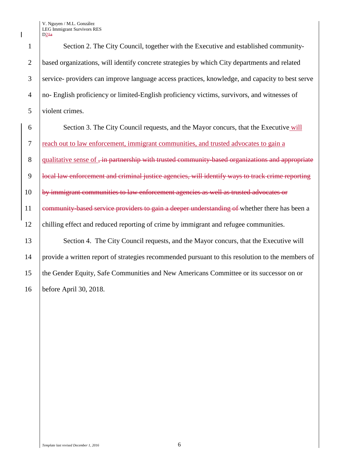1 Section 2. The City Council, together with the Executive and established community-2 based organizations, will identify concrete strategies by which City departments and related 3 service- providers can improve language access practices, knowledge, and capacity to best serve 4 no- English proficiency or limited-English proficiency victims, survivors, and witnesses of 5 violent crimes.

 Section 3. The City Council requests, and the Mayor concurs, that the Executive will reach out to law enforcement, immigrant communities, and trusted advocates to gain a 8 qualitative sense of  $\frac{1}{2}$  in partnership with trusted community-based organizations and appropriate **local law enforcement and criminal justice agencies, will identify ways to track crime reporting**  by immigrant communities to law enforcement agencies as well as trusted advocates or 11 community-based service providers to gain a deeper understanding of whether there has been a chilling effect and reduced reporting of crime by immigrant and refugee communities. 13 Section 4. The City Council requests, and the Mayor concurs, that the Executive will

14 provide a written report of strategies recommended pursuant to this resolution to the members of 15 the Gender Equity, Safe Communities and New Americans Committee or its successor on or 16 before April 30, 2018.

*Template last revised December 1, 2016* 6